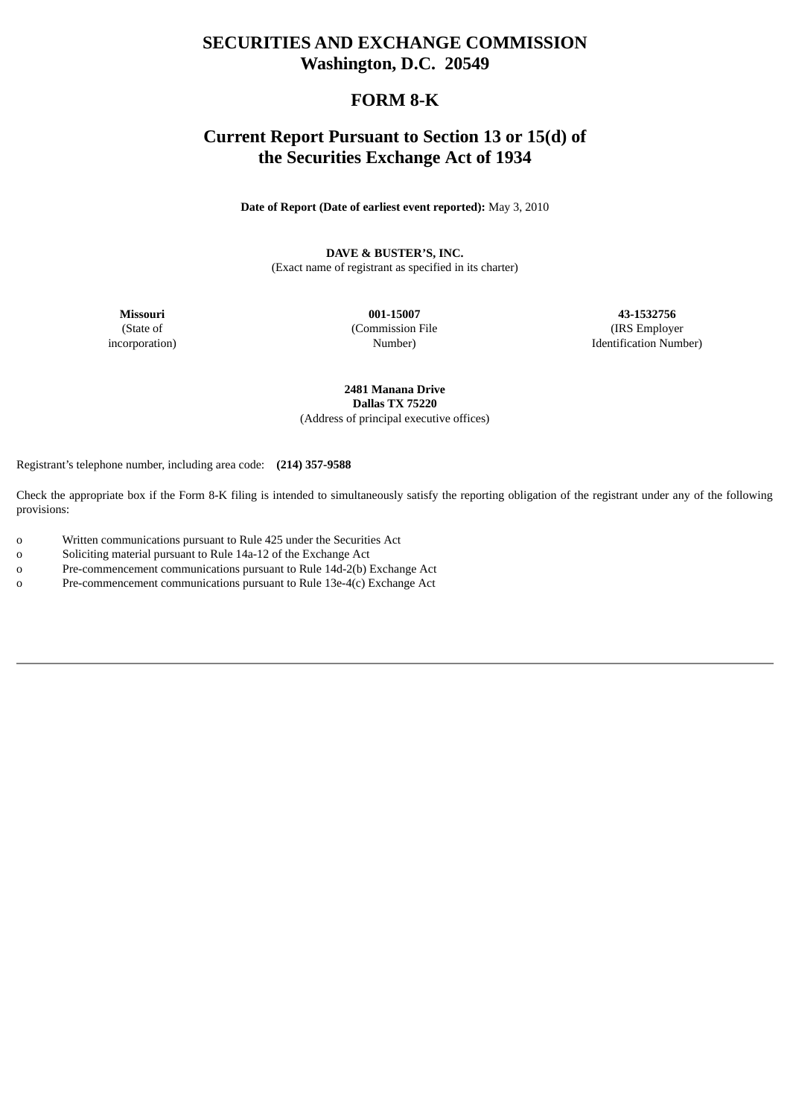# **SECURITIES AND EXCHANGE COMMISSION Washington, D.C. 20549**

# **FORM 8-K**

# **Current Report Pursuant to Section 13 or 15(d) of the Securities Exchange Act of 1934**

**Date of Report (Date of earliest event reported):** May 3, 2010

**DAVE & BUSTER'S, INC.**

(Exact name of registrant as specified in its charter)

**Missouri** (State of incorporation)

**001-15007** (Commission File Number)

**43-1532756** (IRS Employer Identification Number)

**2481 Manana Drive Dallas TX 75220** (Address of principal executive offices)

Registrant's telephone number, including area code: **(214) 357-9588**

Check the appropriate box if the Form 8-K filing is intended to simultaneously satisfy the reporting obligation of the registrant under any of the following provisions:

- o Written communications pursuant to Rule 425 under the Securities Act
- o Soliciting material pursuant to Rule 14a-12 of the Exchange Act
- o Pre-commencement communications pursuant to Rule 14d-2(b) Exchange Act
- o Pre-commencement communications pursuant to Rule 13e-4(c) Exchange Act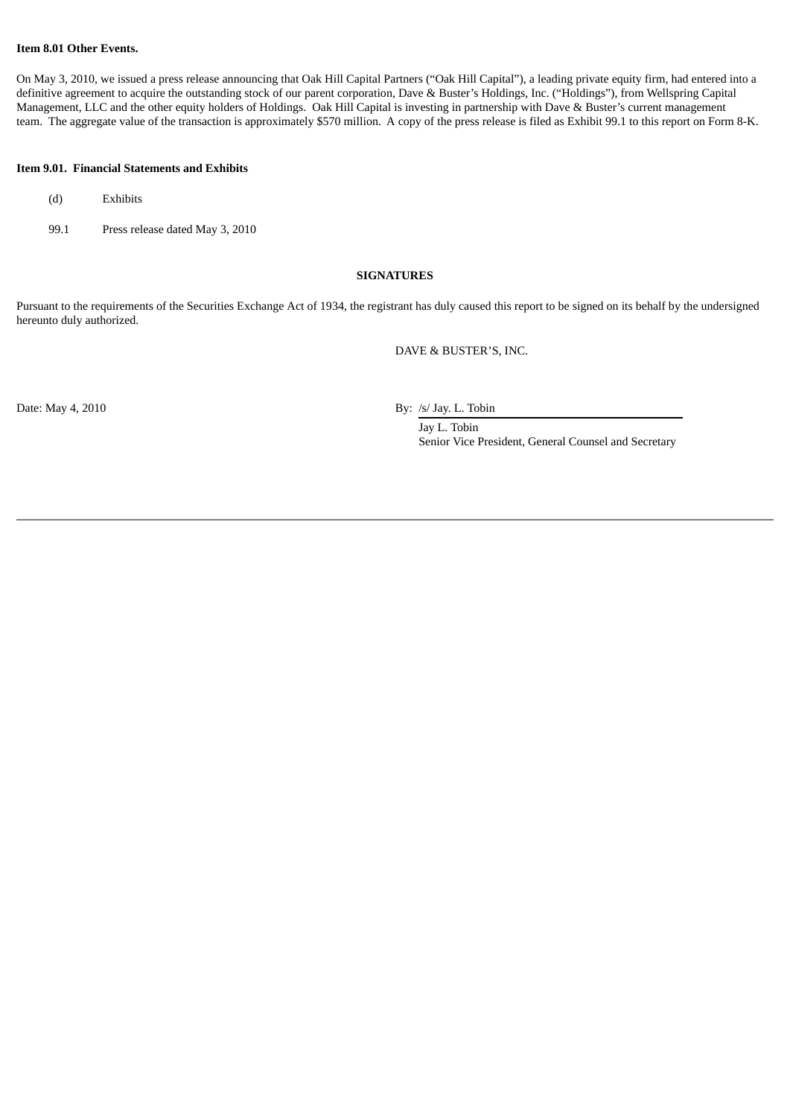### **Item 8.01 Other Events.**

On May 3, 2010, we issued a press release announcing that Oak Hill Capital Partners ("Oak Hill Capital"), a leading private equity firm, had entered into a definitive agreement to acquire the outstanding stock of our parent corporation, Dave & Buster's Holdings, Inc. ("Holdings"), from Wellspring Capital Management, LLC and the other equity holders of Holdings. Oak Hill Capital is investing in partnership with Dave & Buster's current management team. The aggregate value of the transaction is approximately \$570 million. A copy of the press release is filed as Exhibit 99.1 to this report on Form 8-K.

### **Item 9.01. Financial Statements and Exhibits**

- (d) Exhibits
- 99.1 Press release dated May 3, 2010

#### **SIGNATURES**

Pursuant to the requirements of the Securities Exchange Act of 1934, the registrant has duly caused this report to be signed on its behalf by the undersigned hereunto duly authorized.

DAVE & BUSTER'S, INC.

Date: May 4, 2010 By: /s/ Jay. L. Tobin

Jay L. Tobin Senior Vice President, General Counsel and Secretary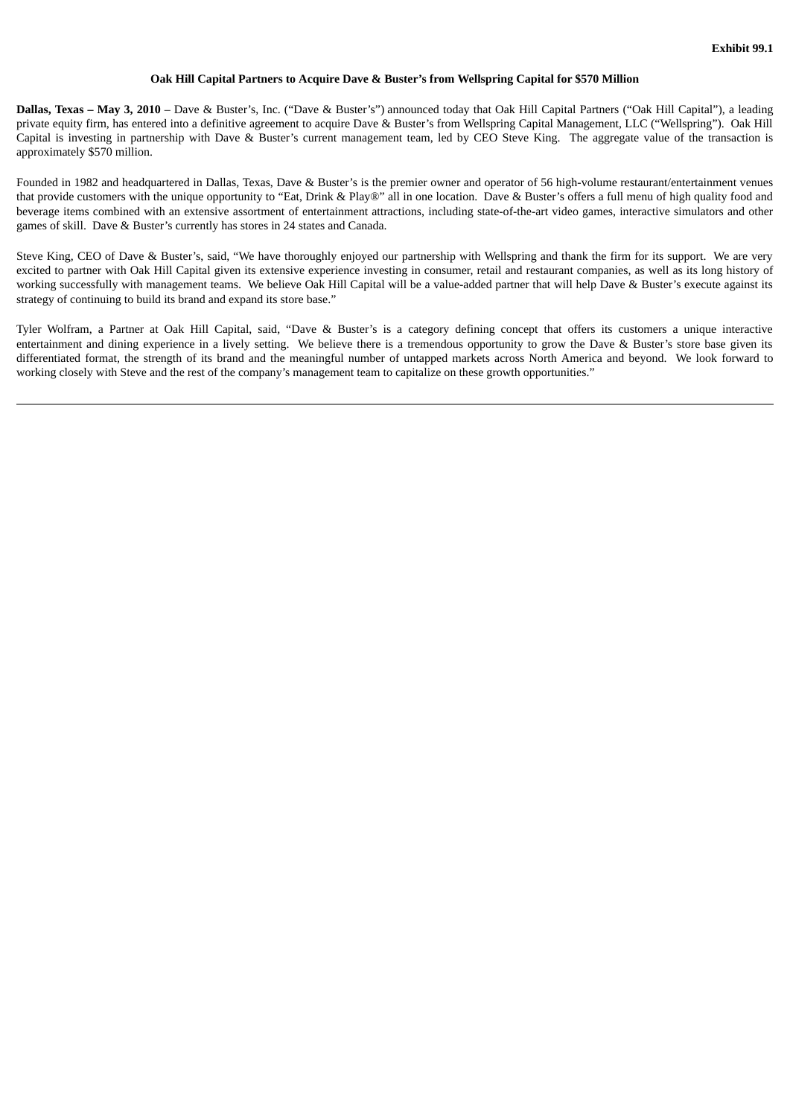### **Oak Hill Capital Partners to Acquire Dave & Buster's from Wellspring Capital for \$570 Million**

**Dallas, Texas – May 3, 2010** – Dave & Buster's, Inc. ("Dave & Buster's") announced today that Oak Hill Capital Partners ("Oak Hill Capital"), a leading private equity firm, has entered into a definitive agreement to acquire Dave & Buster's from Wellspring Capital Management, LLC ("Wellspring"). Oak Hill Capital is investing in partnership with Dave & Buster's current management team, led by CEO Steve King. The aggregate value of the transaction is approximately \$570 million.

Founded in 1982 and headquartered in Dallas, Texas, Dave & Buster's is the premier owner and operator of 56 high-volume restaurant/entertainment venues that provide customers with the unique opportunity to "Eat, Drink & Play®" all in one location. Dave & Buster's offers a full menu of high quality food and beverage items combined with an extensive assortment of entertainment attractions, including state-of-the-art video games, interactive simulators and other games of skill. Dave & Buster's currently has stores in 24 states and Canada.

Steve King, CEO of Dave & Buster's, said, "We have thoroughly enjoyed our partnership with Wellspring and thank the firm for its support. We are very excited to partner with Oak Hill Capital given its extensive experience investing in consumer, retail and restaurant companies, as well as its long history of working successfully with management teams. We believe Oak Hill Capital will be a value-added partner that will help Dave & Buster's execute against its strategy of continuing to build its brand and expand its store base."

Tyler Wolfram, a Partner at Oak Hill Capital, said, "Dave & Buster's is a category defining concept that offers its customers a unique interactive entertainment and dining experience in a lively setting. We believe there is a tremendous opportunity to grow the Dave & Buster's store base given its differentiated format, the strength of its brand and the meaningful number of untapped markets across North America and beyond. We look forward to working closely with Steve and the rest of the company's management team to capitalize on these growth opportunities."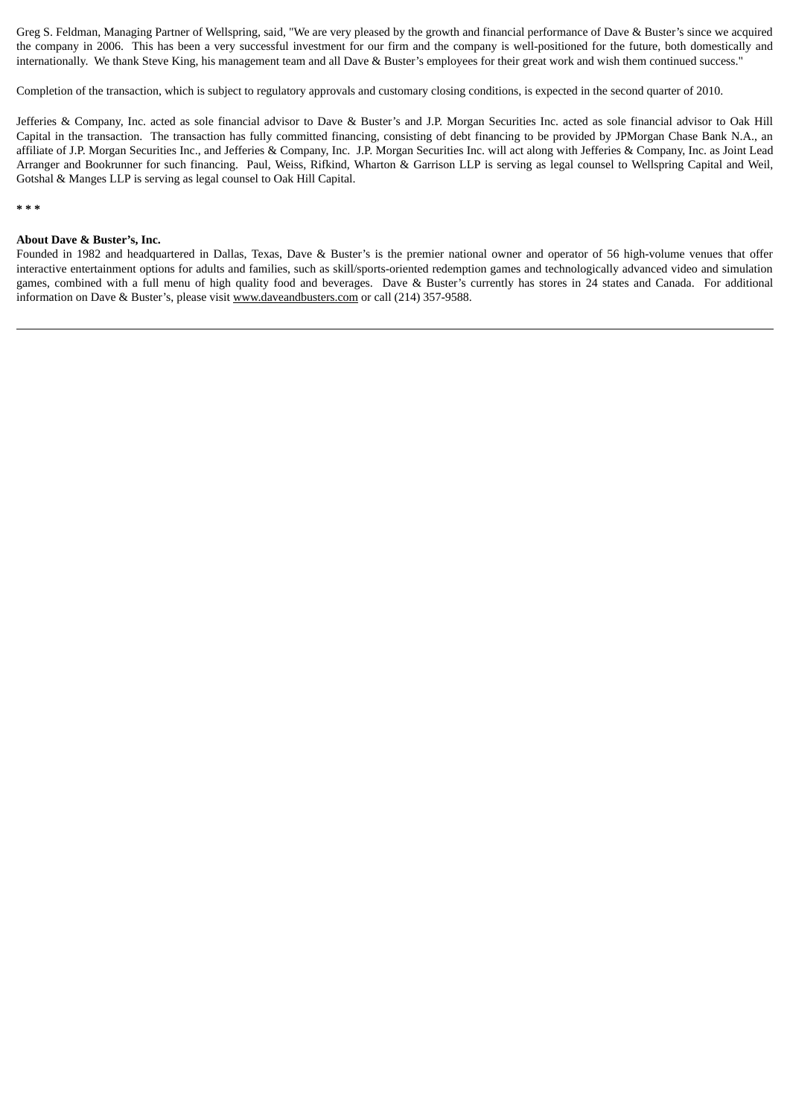Greg S. Feldman, Managing Partner of Wellspring, said, "We are very pleased by the growth and financial performance of Dave & Buster's since we acquired the company in 2006. This has been a very successful investment for our firm and the company is well-positioned for the future, both domestically and internationally. We thank Steve King, his management team and all Dave & Buster's employees for their great work and wish them continued success."

Completion of the transaction, which is subject to regulatory approvals and customary closing conditions, is expected in the second quarter of 2010.

Jefferies & Company, Inc. acted as sole financial advisor to Dave & Buster's and J.P. Morgan Securities Inc. acted as sole financial advisor to Oak Hill Capital in the transaction. The transaction has fully committed financing, consisting of debt financing to be provided by JPMorgan Chase Bank N.A., an affiliate of J.P. Morgan Securities Inc., and Jefferies & Company, Inc. J.P. Morgan Securities Inc. will act along with Jefferies & Company, Inc. as Joint Lead Arranger and Bookrunner for such financing. Paul, Weiss, Rifkind, Wharton & Garrison LLP is serving as legal counsel to Wellspring Capital and Weil, Gotshal & Manges LLP is serving as legal counsel to Oak Hill Capital.

**\* \* \***

#### **About Dave & Buster's, Inc.**

Founded in 1982 and headquartered in Dallas, Texas, Dave & Buster's is the premier national owner and operator of 56 high-volume venues that offer interactive entertainment options for adults and families, such as skill/sports-oriented redemption games and technologically advanced video and simulation games, combined with a full menu of high quality food and beverages. Dave & Buster's currently has stores in 24 states and Canada. For additional information on Dave & Buster's, please visit www.daveandbusters.com or call (214) 357-9588.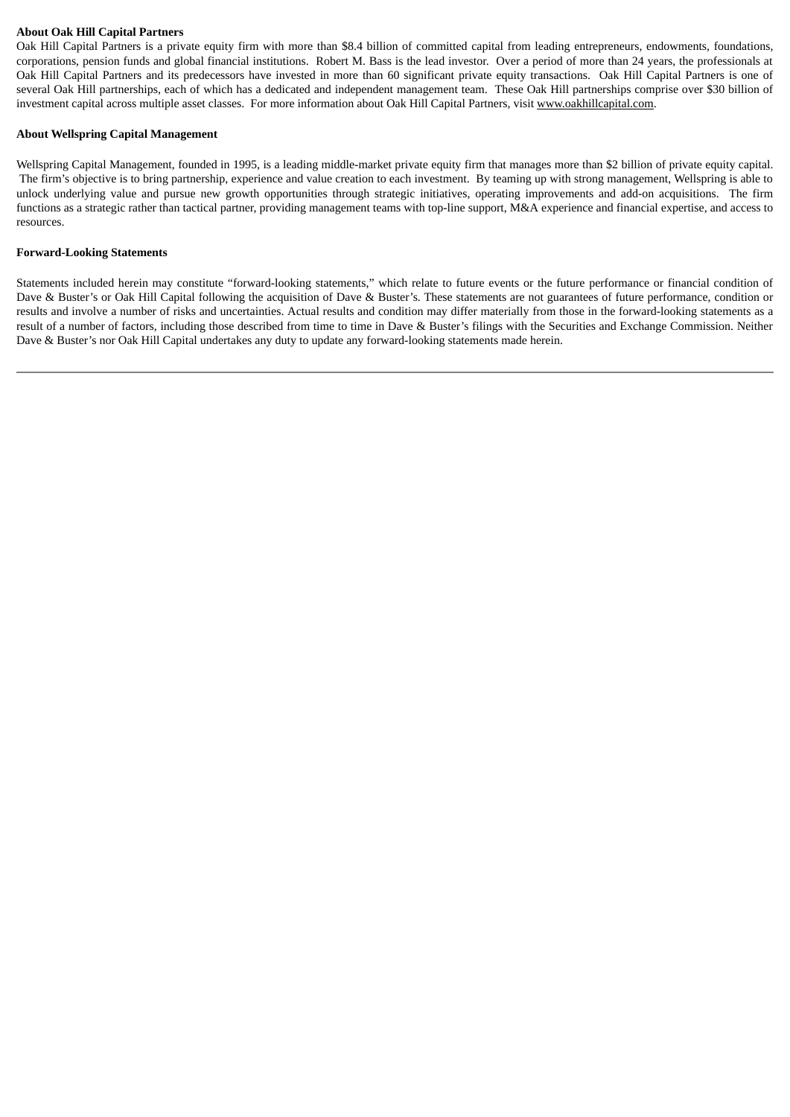## **About Oak Hill Capital Partners**

Oak Hill Capital Partners is a private equity firm with more than \$8.4 billion of committed capital from leading entrepreneurs, endowments, foundations, corporations, pension funds and global financial institutions. Robert M. Bass is the lead investor. Over a period of more than 24 years, the professionals at Oak Hill Capital Partners and its predecessors have invested in more than 60 significant private equity transactions. Oak Hill Capital Partners is one of several Oak Hill partnerships, each of which has a dedicated and independent management team. These Oak Hill partnerships comprise over \$30 billion of investment capital across multiple asset classes. For more information about Oak Hill Capital Partners, visit www.oakhillcapital.com.

## **About Wellspring Capital Management**

Wellspring Capital Management, founded in 1995, is a leading middle-market private equity firm that manages more than \$2 billion of private equity capital. The firm's objective is to bring partnership, experience and value creation to each investment. By teaming up with strong management, Wellspring is able to unlock underlying value and pursue new growth opportunities through strategic initiatives, operating improvements and add-on acquisitions. The firm functions as a strategic rather than tactical partner, providing management teams with top-line support, M&A experience and financial expertise, and access to resources.

## **Forward-Looking Statements**

Statements included herein may constitute "forward-looking statements," which relate to future events or the future performance or financial condition of Dave & Buster's or Oak Hill Capital following the acquisition of Dave & Buster's. These statements are not guarantees of future performance, condition or results and involve a number of risks and uncertainties. Actual results and condition may differ materially from those in the forward-looking statements as a result of a number of factors, including those described from time to time in Dave & Buster's filings with the Securities and Exchange Commission. Neither Dave & Buster's nor Oak Hill Capital undertakes any duty to update any forward-looking statements made herein.